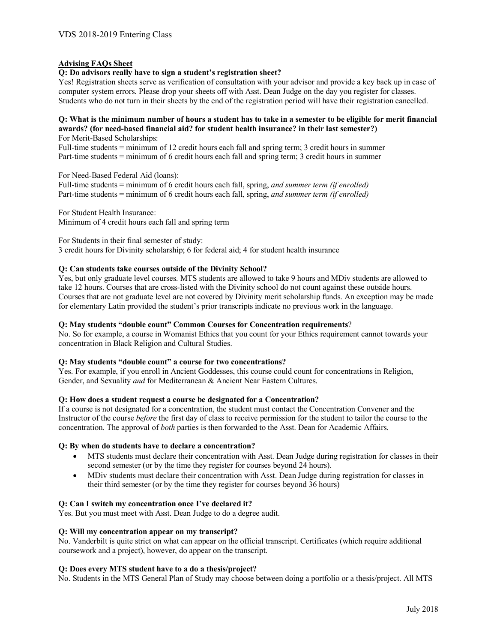# **Advising FAQs Sheet**

# **Q: Do advisors really have to sign a student's registration sheet?**

Yes! Registration sheets serve as verification of consultation with your advisor and provide a key back up in case of computer system errors. Please drop your sheets off with Asst. Dean Judge on the day you register for classes. Students who do not turn in their sheets by the end of the registration period will have their registration cancelled.

# **Q: What is the minimum number of hours a student has to take in a semester to be eligible for merit financial awards? (for need-based financial aid? for student health insurance? in their last semester?)**

For Merit-Based Scholarships:

Full-time students = minimum of 12 credit hours each fall and spring term; 3 credit hours in summer Part-time students = minimum of 6 credit hours each fall and spring term; 3 credit hours in summer

For Need-Based Federal Aid (loans): Full-time students = minimum of 6 credit hours each fall, spring, *and summer term (if enrolled)* Part-time students = minimum of 6 credit hours each fall, spring, *and summer term (if enrolled)*

For Student Health Insurance: Minimum of 4 credit hours each fall and spring term

For Students in their final semester of study: 3 credit hours for Divinity scholarship; 6 for federal aid; 4 for student health insurance

## **Q: Can students take courses outside of the Divinity School?**

Yes, but only graduate level courses. MTS students are allowed to take 9 hours and MDiv students are allowed to take 12 hours. Courses that are cross-listed with the Divinity school do not count against these outside hours. Courses that are not graduate level are not covered by Divinity merit scholarship funds. An exception may be made for elementary Latin provided the student's prior transcripts indicate no previous work in the language.

## **Q: May students "double count" Common Courses for Concentration requirements**?

No. So for example, a course in Womanist Ethics that you count for your Ethics requirement cannot towards your concentration in Black Religion and Cultural Studies.

#### **Q: May students "double count" a course for two concentrations?**

Yes. For example, if you enroll in Ancient Goddesses, this course could count for concentrations in Religion, Gender, and Sexuality *and* for Mediterranean & Ancient Near Eastern Cultures.

#### **Q: How does a student request a course be designated for a Concentration?**

If a course is not designated for a concentration, the student must contact the Concentration Convener and the Instructor of the course *before* the first day of class to receive permission for the student to tailor the course to the concentration. The approval of *both* parties is then forwarded to the Asst. Dean for Academic Affairs.

# **Q: By when do students have to declare a concentration?**

- MTS students must declare their concentration with Asst. Dean Judge during registration for classes in their second semester (or by the time they register for courses beyond 24 hours).
- MDiv students must declare their concentration with Asst. Dean Judge during registration for classes in their third semester (or by the time they register for courses beyond 36 hours)

## **Q: Can I switch my concentration once I've declared it?**

Yes. But you must meet with Asst. Dean Judge to do a degree audit.

#### **Q: Will my concentration appear on my transcript?**

No. Vanderbilt is quite strict on what can appear on the official transcript. Certificates (which require additional coursework and a project), however, do appear on the transcript.

# **Q: Does every MTS student have to a do a thesis/project?**

No. Students in the MTS General Plan of Study may choose between doing a portfolio or a thesis/project. All MTS